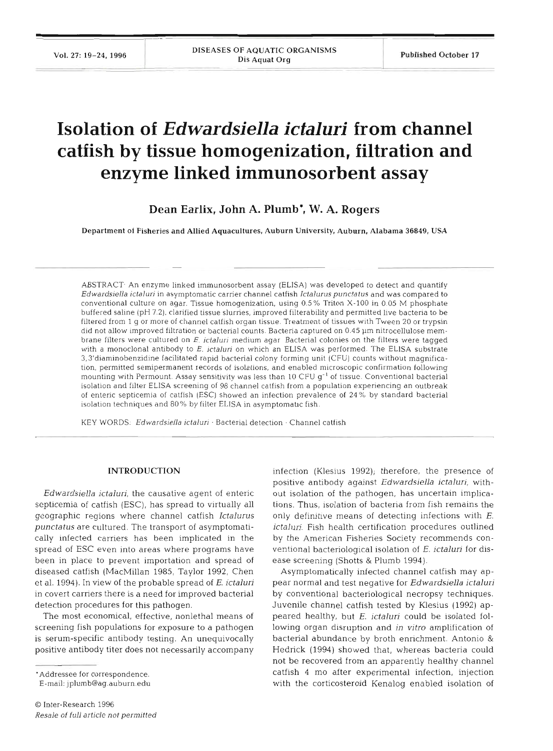# **Isolation of** *Edwardsiella ictaluri* **from channel catfish by tissue homogenization, filtration and enzyme linked immunosorbent assay**

Dean **Earlix, John A. Plumb\*,** W. **A.** Rogers

Department **of** Fisheries and Allied Aquacultures, Auburn University, Auburn. Alabama **36849,** USA

ABSTRACT- An enzyme linked immunosorbent assay (ELISA) was developed to detect and quantify Edwardsiella ictaluri in asymptomatic carrier channel catfish Ictalurus punctatus and was compared to conventional culture on agar. Tissue homogenization, using 0.5% Triton X-100 in 0 05 M phosphate buffered saline (pH 7.2), clarified tissue slurries, improved filterability and permitted live bacteria to be filtered from 1 g or more of channel catfish organ tissue. Treatment of tissues with Tween 20 or trypsin did not allow improved filtration or bacterial counts. Bacteria captured on 0.45 um nitrocellulose membrane filters were cultured on E. ictaluri medium agar Bacterial colonies on the filters were tagged with a monoclonal antibody to E. ictaluri on which an ELISA was performed. The ELlSA substrate 3,3'diaminobenzidine facilitated rapid bacterial colony forming unit (CFU) counts without magnification, permitted semipermanent records of isolations, and enabled microscopic confirmation following mounting with Permount. Assay sensitivity was less than  $10$  CFU  $g^{-1}$  of tissue. Conventional bacterial isolation and filter ELISA screening of 98 channel catfish from a population experiencing an outbreak of enteric septicemia of catfish (ESC) showed an infection prevalence of 24 % by standard bacterial isolation techniques and 80% by filter ELISA in asymptomatic fish.

KEY WORDS: *Edwardsiella ictaluri* · Bacterial detection · Channel cati

## **INTRODUCTION**

*Edwardsiella ictaluri,* the causative agent of enteric septicemia of catfish (ESC), has spread to virtually all geographic regions where channel catfish *Ictalurus punctatus* are cultured. The transport of asymptomatically infected carriers has been implicated in the spread of ESC even into areas where programs have been in place to prevent importation and spread of diseased catfish (MacMillan 1985, Taylor 1992, Chen et al. 1994). In view of the probable spread of E. *ictaluri*  in covert carriers there is a need for improved bacterial detection procedures for this pathogen.

The most economical, effective, nonlethal means of screening fish populations for exposure to a pathogen is serum-specific antibody testing. An unequivocally positive antibody titer does not necessarily accompany

'Addressee for correspondence.

E-mail: jplumb@ag.auburn.edu

infection (Klesius 1992); therefore, the presence of positive antibody against *Edwardsiella ictaluri,* without isolation of the pathogen, has uncertain implications. Thus, isolation of bacteria from fish remains the only definitive means of detecting infections with E. *ictaluri.* Fish health certification procedures outlined by the American Fisheries Society recommends conventional bacteriological isolation of E, *ictaluri* for disease screening (Shotts & Plumb 1994).

Asymptomatically infected channel catfish may appear normal and test negative for *Edwardsiella ictaluri* by conventional bacteriological necropsy techniques. Juvenile channel catfish tested by Klesius (1992) appeared healthy, but *E. ictaluri* could be isolated following organ disruption and *in vitro* amplification of bacterial abundance by broth enrichment. Antonio & Hedrick (1994) showed that, whereas bacteria could not be recovered from an apparently healthy channel catfish 4 mo after experimental infection, injection with the corticosteroid Kenalog enabled isolation of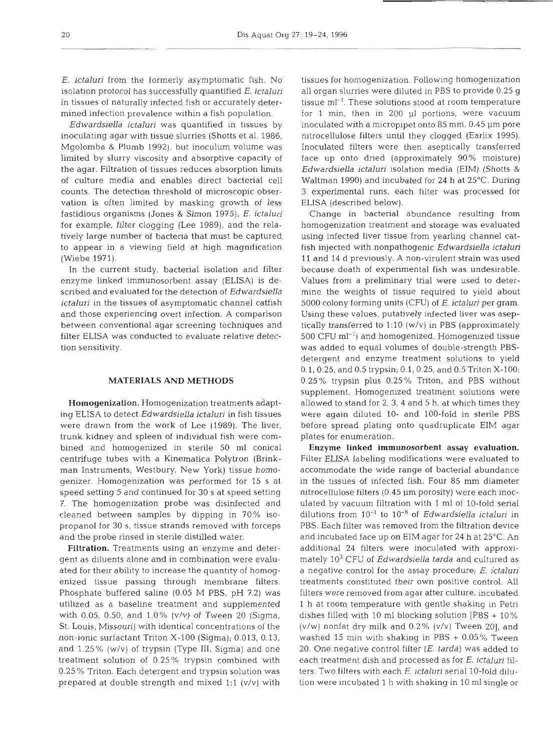*E. ictaluri* from the formerly asymptomatic fish. No isolation protocol has successfully quantified E. *ictaluri*  in tissues of naturally infected fish or accurately determined infection prevalence within a fish population.

*Edwardsiella ictaluri* was quantified in tissues by inoculating agar with tissue slurries (Shotts et al. 1986, Mgolomba & Plumb 1992), but inoculum volume was limited by slurry viscosity and absorptive capacity of the agar. Filtration of tissues reduces absorption limits of culture media and enables direct bacterial cell counts. The detection threshold of microscopic observation is often limited by masking growth of less fastidious organisms (Jones & Simon 1975), E. *ictaluri*  for example, filter clogging (Lee 1989), and the relatively large number of bacteria that must be captured to appear in a viewing field at high magnification (Wiebe 1971).

In the current study, bacterial isolation and filter enzyme linked immunosorbent assay (ELISA) is described and evaluated for the detection of *Edwardsiella ictaluri* in the tissues of asymptomatic channel catfish and those experiencing overt infection. **A** comparison between conventional agar screening techniques and filter ELISA was conducted to evaluate relative detection sensitivity.

## **MATERIALS AND METHODS**

Homogenization. Homogenization treatments adapting ELISA to detect *Edwardsiella ictaluri* in fish tissues were drawn from the work of Lee (1989). The liver, trunk kidney and spleen of individual fish were combined and homogenized in sterile 50 m1 conical centrifuge tubes with a Kinematica Polytron (Brinkman Instruments, Westbury, New York) tissue homogenizer. Homogenization was performed for 15 s at speed setting 5 and continued for 30 s at speed setting 7. The homogenization probe was disinfected and cleaned between samples by dipping in 70% isopropanol for 30 S, tissue strands removed with forceps and the probe rinsed in sterile distilled water.

Filtration. Treatments using an enzyme and detergent as diluents alone and in combination were evaluated for their ability to increase the quantity of homogenized tissue passing through membrane filters. Phosphate buffered saline (0.05 M PBS, pH 7.2) was utilized as a baseline treatment and supplemented with 0.05, 0.50, and 1.0% (v/v) of Tween 20 (Sigma, St. Louis, Missouri) with identical concentrations of the non-ionic surfactant Triton X-100 (Sigma); 0.013, 0.13, and 1.25% (w/v) of trypsin (Type 111, Sigma) and one treatment solution of 0.25% trypsin combined with 0.25 % Triton. Each detergent and trypsin solution tvas prepared at double strength and mixed 1:l (v/v) with

tissues for homogenization. Following homogenization all organ slurries were diluted in PBS to provide 0.25 g tissue  $ml<sup>-1</sup>$ . These solutions stood at room temperature for 1 min, then in 200 **p1** portions, were vacuum inoculated with a micropipet onto 85 mm, 0.45 µm pore nitrocellulose filters until they clogged (Earlix 1995). Inoculated filters were then aseptically transferred face up onto dried (approximately 90% moisture) *Edwardsiella ictaluri* isolation media (EIM) (Shotts & Waltman 1990) and incubated for 24 h at 25°C. During 3 experimental runs, each filter was processed for ELISA (described below).

Change in bacterial abundance resulting from homogenization treatment and storage was evaluated using infected liver tissue from yearling channel catfish injected with nonpathogenic *Edwardsiella ictaluri*  11 and *14* d previously. A non-virulent strain was used because death of experimental fish was undesirable. Values from a preliminary trial were used to determine the weights of tissue required to yield about 5000 colony forming units (CFU) of E. *ictaluri* per gram. Using these values, putatively infected liver was aseptically transferred to 1:10 (w/v) in PBS (approximately 500 CFU ml-l) and homogenized. Homogenized tissue was added to equal volumes of double-strength PBSdetergent and enzyme treatment solutions to yield 0.1, 0.25, and 0.5 trypsin; 0.1, 0.25, and 0.5 Triton X-100; 0.25% trypsin plus 0.25% Triton, and PBS without supplement. Homogenized treatment solutions were allowed to stand for 2, **3,** 4 and 5 h, at which times they were again diluted 10- and 100-fold in sterile PBS before spread plating onto quadruplicate EIM agar plates for enumeration.

Enzyme linked immunosorbent assay evaluation. Filter ELISA labeling modifications were evaluated to accommodate the wide range of bacterial abundance in the tissues of infected fish. Four 85 mm diameter nitrocellulose filters (0.45 **pm** porosity) were each inoculated by vacuum filtration with 1 m1 of 10-fold serial dilutions from  $10^{-1}$  to  $10^{-6}$  of *Edwardsiella ictaluri* in PBS. Each filter was removed from the filtration device and incubated face up on EIM agar for 24 h at  $25^{\circ}$ C. An additional 24 filters were inoculated with approximately 103 CFU of *Edwardsiella tarda* and cultured as a negative control for the assay procedure; *E. ictaluri*  treatments constituted their own positive control. All filters were removed from agar after culture, incubated 1 h at room temperature with gentle shaking in Petri dishes filled with 10 m1 blocking solution [PBS + 10%  $(v/w)$  nonfat dry milk and 0.2%  $(v/v)$  Tween 20], and washed 15 min with shaking in PBS + 0.05% Tween 20. One negative control filter (E, *tarda)* was added to each treatment dish and processed as for *E. ictaluri* filters. Two filters with each *E. ictaluri* serial 10-fold dilution were incubated 1 h with shaking in 10 m1 single or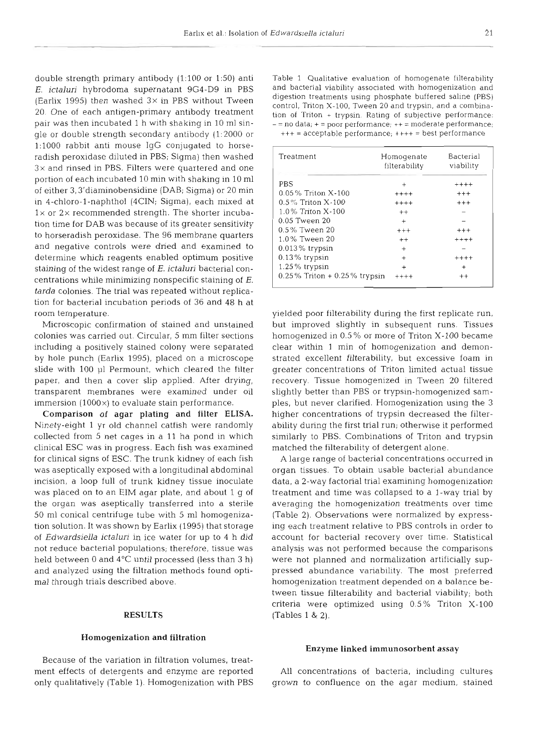double strength primary antibody (1:100 or 1:50) anti *E. ictaluri* hybrodoma supernatant 9G4-D9 in PBS (Earlix 1995) then washed  $3 \times$  in PBS without Tween 20. One of each antigen-primary antibody treatment pair was then incubated 1 h with shaking in 10 m1 single or double strength secondary antibody (1:2000 or 1:1000 rabbit anti mouse IgG conjugated to horseradish peroxidase diluted in PBS; Sigma) then washed 3x and rinsed in PBS. Filters were quartered and one portion of each incubated 10 min with shaking in 10 ml of either 3,3'diaminobensidine (DAB; Sigma) or 20 min in 4-chloro-l-naphthol **(4CIN;** Sigma), each mixed at  $1\times$  or  $2\times$  recommended strength. The shorter incubation time for DAB was because of its greater sensitivity to horseradish peroxidase. The 96 membrane quarters and negative controls were dried and examined to determine which reagents enabled optimum positive staining of the widest range of E. *ictaluri* bacterial concentrations while minimizing nonspecific staining of E. *tarda* colonies. The trial was repeated without replication for bacterial incubation periods of 36 and 48 h at room temperature.

Microscopic confirmation of stained and unstained colonies was carried out. Circular, 5 mm filter sections including a positively stained colony were separated by hole punch (Earlix 1995), placed on a microscope slide with 100 p1 Permount, which cleared the fllter paper, and then a cover slip applied. After drying, transparent membranes were examined under oil immersion  $(1000\times)$  to evaluate stain performance.

Comparison of agar plating and filter ELISA. Ninety-eight 1 yr old channel catfish were randomly collected from 5 net cages in a 11 ha pond in which clinical ESC was in progress. Each fish was examined for clinical signs of ESC. The trunk kidney of each fish was aseptically exposed with a longitudinal abdominal incision, a loop full of trunk kidney tissue inoculate was placed on to an EIM agar plate, and about 1 g of the organ was aseptically transferred into a sterile 50 m1 conical centrifuge tube with 5 m1 homogenization solution. It was shown by Earlix (1995) that storage of *Edwardsiella ictaluri* in ice water for up to 4 h did not reduce bacterial populations; therefore, tissue was held between 0 and 4°C until processed (less than 3 h) and analyzed using the filtration methods found optimal through trials described above.

### **RESULTS**

#### Homogenization and filtration

Because of the variation in filtration volumes, treatment effects of detergents and enzyme are reported only qualitatively (Table 1). Homogenization with PBS Table 1 Qualitative evaluation of homogenate filterability and bacterial viability associated with homogenization and digestion treatments using phosphate buffered saline (PBS) control, Triton X-100, Tween 20 and trypsin, and a combination of Triton + trypsin. Rating of subjective performance:  $-$  = no data;  $+$  = poor performance;  $++$  = moderate performance; +++ = acceptable performance; ++++ = best performance

| Treatment                       | Homogenate<br>filterability | Bacterial<br>viability |
|---------------------------------|-----------------------------|------------------------|
| PBS                             | $^{+}$                      | $***+$                 |
| 0.05% Triton X-100              | $+++++$                     | $+++$                  |
| $0.5\%$ Triton $X-100$          | $+++++$                     | $^{+++}$               |
| 1.0% Triton X-100               | $^{++}$                     |                        |
| 0.05 Tween 20                   | $+$                         |                        |
| 0.5% Tween 20                   | $^{+++}$                    | $^{+++}$               |
| 1.0% Tween 20                   | $^{++}$                     | $***+$                 |
| $0.013\%$ trypsin               | $\ddot{}$                   |                        |
| $0.13\%$ trypsin                | $_{+}$                      | $++++$                 |
| $1.25\%$ trypsin                | $\ddot{}$                   | $\ddot{}$              |
| $0.25\%$ Triton + 0.25% trypsin | $^{\mathrm{+++}}$           | $^{++}$                |

yielded poor filterability during the first replicate run, but improved slightly in subsequent runs. Tissues homogenized in 0.5 % or more of Triton X-100 became clear within 1 min of homogenization and demonstrated excellent filterability, but excessive foam in greater concentrations of Triton limited actual tissue recovery. Tissue homogenized in Tween 20 filtered slightly better than PBS or trypsin-homogenized samples, but never clarified. Homogenization using the **3**  higher concentrations of trypsin decreased the filterability during the first trial run; otherwise it performed similarly to PBS. Combinations of Triton and trypsin matched the filterability of detergent alone.

A large range of bacterial concentrations occurred in organ tissues. To obtain usable bacterial abundance data, a 2-way factorial trial examining homogenization treatment and time was collapsed to a l-way trial by averaging the homogenization treatments over time (Table 2). Observations were normalized by expressing each treatment relative to PBS controls in order to account for bacterial recovery over time. Statistical analysis was not performed because the comparisons were not planned and normalization artificially suppressed abundance variability. The most preferred homogenization treatment depended on a balance between tissue filterability and bacterial viability; both criteria were optimized using  $0.5\%$  Triton X-100 (Tables 1 & 2).

#### Enzyme linked immunosorbent assay

All concentrations of bacteria, including cultures grown to confluence on the agar medium, stained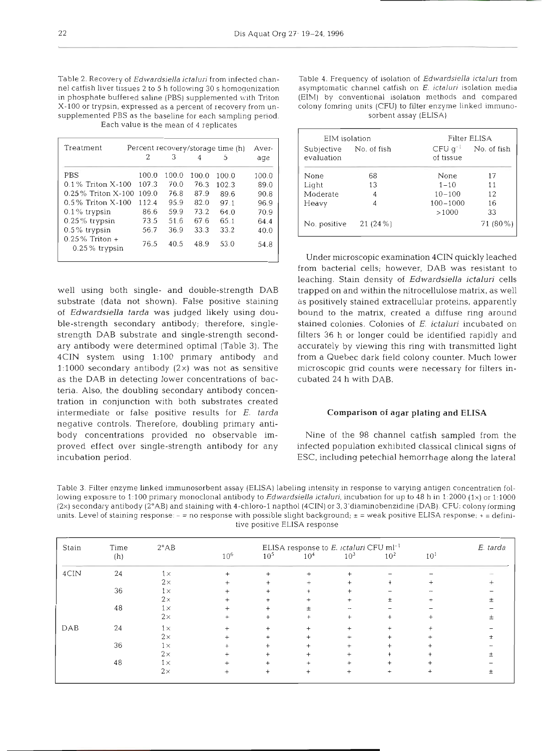nel catfish liver tissues 2 to 5 h following *30* s homogenization asymptomatic channel catfish on E. ictaluri isolation media in phosphate buffered saline (PBS) supplemented with Triton X-100 or trypsin, expressed as a percent of recovery from un-<br>supplemented PBS as the baseline for each sampling period.<br>sorbent assay (ELISA) supplemented PBS as the baseline for each sampling period. Each value is the mean of 4 replicates

|                                       | 2     | З     | 4     | 5     | age   |
|---------------------------------------|-------|-------|-------|-------|-------|
|                                       |       |       |       |       |       |
| <b>PBS</b>                            | 100.0 | 100.0 | 100.0 | 100.0 | 100.0 |
| $0.1\%$ Triton X-100                  | 107.3 | 70.0  | 76.3  | 102.3 | 89.0  |
| $0.25\%$ Triton $X-100$               | 109.0 | 76.8  | 87.9  | 89.6  | 90.8  |
| $0.5\%$ Triton X-100                  | 112.4 | 95.9  | 82.0  | 97.1  | 96.9  |
| $0.1\%$ trypsin                       | 86.6  | 59.9  | 73.2  | 64.0  | 70.9  |
| $0.25\%$ trypsin                      | 73.5  | 51.6  | 67.6  | 65.1  | 64.4  |
| $0.5\%$ trypsin                       | 56.7  | 36.9  | 33.3  | 33.2  | 40.0  |
| $0.25\%$ Triton +<br>$0.25\%$ trypsin | 76.5  | 40.5  | 48.9  | 53.0  | 54.8  |

well using both single- and double-strength DAB substrate (data not shown). False positive staining of *Edwardsiella tarda* was judged likely using double-strength secondary antibody; therefore, singlestrength DAB substrate and single-strength secondary antibody were determined optimal (Table 3). The 4CIN system using 1:100 primary antibody and 1:1000 secondary antibody  $(2\times)$  was not as sensitive as the DAB in detecting lower concentrations of bacteria. Also, the doubling secondary antibody concentration in conjunction with both substrates created intermediate or false positive results for E. *tarda*  negative controls. Therefore, doubling primary antibody concentrations provided no observable improved effect over single-strength antibody for any incubation period.

Table 2. Recovery of Edwardsiella ictaluri from infected chan-<br>nel catfish liver tissues 2 to 5 h following 30 s homogenization asymptomatic channel catfish on E. ictaluri isolation media

| EIM isolation                        |         | Filter ELISA                |             |  |  |
|--------------------------------------|---------|-----------------------------|-------------|--|--|
| Subjective No. of fish<br>evaluation |         | $CFU$ $q^{-1}$<br>of tissue | No. of fish |  |  |
| None                                 | 68      | None                        | 17          |  |  |
| Light                                | 13      | $1 - 10$                    | 11          |  |  |
| Moderate                             | 4       | $10 - 100$                  | 12          |  |  |
| Heavy                                | 4       | $100 - 1000$                | 16          |  |  |
|                                      |         | >1000                       | 33          |  |  |
| No. positive                         | 21(24%) |                             | 71 (80 %)   |  |  |

Under microscopic examination 4CIN quickly leached from bacterial cells; however, DAB was resistant to leaching. Stain density of *Edwardsiella ictaluri* cells trapped on and within the nitrocellulose matrix, as well as positively stained extracellular proteins, apparently bound to the matrix, created a diffuse ring around stained colonies. Colonies of E. *ictaluri* incubated on filters 36 h or longer could be identified rapidly and accurately by viewing this ring with transmitted light from a Quebec dark field colony counter. Much lower microscopic grid counts were necessary for filters incubated 24 h with DAB.

## **Comparison of agar plating and ELISA**

Nine of the 98 channel catfish sampled from the infected population exhibited classical clinical signs of ESC, including petechial hemorrhage along the lateral

Table 3. Filter enzyme linked immunosorbent assay (ELISA) labeling intensity in response to varying antigen concentration following exposure to 1:100 primary monoclonal antibody to Edwardsiella ictaluri, incubation for up to 48 h in 1:2000 (1×) or 1:1000 (2x) secondary antibody (2"AB) and staining with 4-chloro-l napthol(4CIN) or 3, 3'diaminobenzidine (DAB). **CPU:** colony forming units. Level of staining response: - = no response with possible slight background; **<sup>t</sup>**= weak positive ELISA response; + = definitive positive ELISA response

| Stain | Time | $2^{\circ}AB$ | ELISA response to E. ictaluri CFU ml <sup>-1</sup> |                 |                 |                 | E. tarda        |                 |  |
|-------|------|---------------|----------------------------------------------------|-----------------|-----------------|-----------------|-----------------|-----------------|--|
|       | (h)  |               | 10 <sup>6</sup>                                    | 10 <sup>5</sup> | 10 <sup>4</sup> | 10 <sup>3</sup> | 10 <sup>2</sup> | 10 <sup>1</sup> |  |
| 4CIN  | 24   | $1\times$     | $\ddot{}$                                          |                 |                 |                 |                 |                 |  |
|       |      | $2\times$     |                                                    |                 |                 |                 |                 |                 |  |
|       | 36   | $1\times$     |                                                    |                 |                 |                 |                 |                 |  |
|       |      | $2\times$     |                                                    |                 |                 |                 |                 |                 |  |
|       | 48   | $1\times$     |                                                    |                 |                 | and i           |                 |                 |  |
|       |      | $2\times$     |                                                    |                 |                 |                 |                 |                 |  |
| DAB   | 24   | $1\times$     |                                                    |                 |                 |                 |                 |                 |  |
|       |      | $2\times$     |                                                    |                 |                 |                 |                 |                 |  |
|       | 36   | $1\times$     |                                                    |                 |                 |                 |                 |                 |  |
|       |      | $2\times$     |                                                    |                 |                 |                 |                 |                 |  |
|       | 48   | $1\times$     |                                                    |                 |                 |                 |                 |                 |  |
|       |      | $2\times$     |                                                    |                 |                 |                 |                 |                 |  |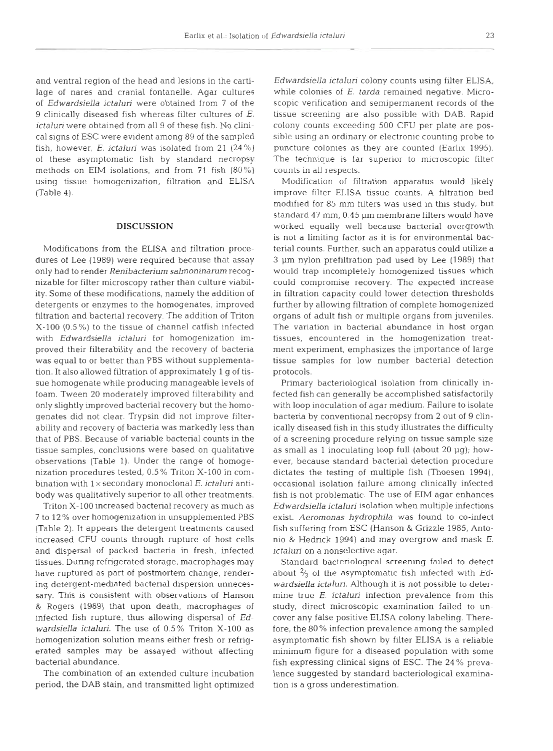and ventral region of the head and lesions in the cartilage of nares and cranial fontanelle. Agar cultures of *Edwardsiella ictaluri* were obtained from 7 of 9 clinically diseased fish whereas filter cultures of  $E$ . ictaluri were obtained from all 9 of these fish. No clinical signs of ESC were evident among 89 of the sampled fish, however, E. ictaluri was isolated from 21  $(24\%)$ of these asymptomatic fish by standard necropsy methods on EIM isolations, and from 71 fish (80%) using tissue homogenization, filtration and ELISA (Table 4).

## **DISCUSSION**

Modifications from the ELISA and filtration procedures of Lee (1989) were required because that assay only had to render Renibacterium salmoninarum recognizable for filter microscopy rather than culture viability. Some of these modifications, namely the addition of detergents or enzymes to the homogenates, improved filtration and bacterial recovery. The addition of Triton X-100 (0.5%) to the tissue of channel catfish infected with Edwardsiella ictaluri for homogenization improved their filterability and the recovery of bacteria was equal to or better than PBS without supplementation. It also allowed filtration of approximately l g of tissue homogenate while producing manageable levels of foam. Tween 20 moderately improved filterability and only slightly improved bacterial recovery but the homogenates did not clear. Trypsin did not improve filterability and recovery of bacteria was markedly less than that of PBS. Because of variable bacterial counts in t tissue samples, conclusions were based on qualitative observations (Table 1). Under the range of homogenization procedures tested, 0.5 % Triton X-100 in combination with  $1 \times$  secondary monoclonal  $E$ . ictaluri antibody was qualitatively superior to all other treatments.

Triton X-100 increased bacterial recovery as much as 7 to 12 % over homogenization in unsupplemented PBS (Table 2). It appears the detergent treatments caused increased CFU counts through rupture of host cells and dispersal of packed bacteria in fresh, infected tissues. During refrigerated storage, macrophages may have ruptured as part of postmortem change, rendering detergent-mediated bacterial dispersion unnecessary. This is consistent with observations of Hanson & Rogers (1989) that upon death, macrophages of infected fish rupture, thus allowing dispersal of Edwardsiella ictaluri. The use of 0.5% Triton X-100 as homogenization solution means either fresh or refrigerated samples may be assayed without affecting bacterial abundance.

The combination of an extended culture incubati period, the DAB stain, and transmitted light optimized Edwardsiella ictaluri colony counts using filter ELISA, while colonies of E. tarda remained negative. Microscopic verification and semipermanent records of the tissue screening are also possible with DAB. Rapid colony counts exceeding 500 CFU per plate are possible using an ordinary or electronic counting probe to puncture colonies as they are counted (Earlix 1995). The technique is far superior to microscopic filter counts in all respects.

Modification of filtration apparatus would likely improve filter ELISA tissue counts. A filtration bed modified for 85 mm filters was used in this study, but standard 47 mm, 0.45 µm membrane filters would have worked equally well because bacterial overgrowth is not a limiting factor as it is for environmental bacterial counts. Further, such an apparatus could utilize a 3 pm nylon prefiltration pad used by Lee (1989) that would trap incompletely homogenized tissues which could compromise recovery. The expected increase in filtration capacity could lower detection thresholds further by allowing filtration of complete homogenized organs of adult fish or multiple organs from juveniles. The variation in bacterial abundance in host organ tissues, encountered in the homogenization treatment experiment, emphasizes the importance of large tissue samples for low number bacterial detection protocols.

Primary bacteriological isolation from clinically infected fish can generally be accomplished satisfactorily with loop inoculation of agar medium. Failure to isolate bacteria by conventional necropsy from 2 out of 9 clinically diseased fish in this study illustrates the difficulty of a screening procedure relying on tissue sample size as small as 1 inoculating loop full (about  $20 \mu q$ ); however, because standard bacterial detection procedure dictates the testing of multiple fish (Thoesen 1994), occasional isolation failure among clinically infected fish is not problematic. The use of EIM agar enhances Edwardsiella ictaluri isolation when multiple infections exist. Aeromonas hydrophila was found to co-infect fish suffering from ESC (Hanson & Grizzle 1985, Antonio & Hedrick 1994) and may overgrow and mask E. ictaluri on a nonselective agar.

Standard bacteriological screening failed to detect about  $\frac{2}{3}$  of the asymptomatic fish infected with Edwardsiella ictaluri. Although it is not possible to determine true  $E$ . *ictaluri* infection prevalence from this study, direct microscopic examination failed to uncover any false positive ELISA colony labeling. Therefore, the 80% infection prevalence among the sampled asymptomatic fish shown by filter ELISA is a reliable minimum figure for a diseased population with some fish expressing clinical signs of ESC. The 24 % prevalence suggested by standard bacteriological examination is a gross underestimation.